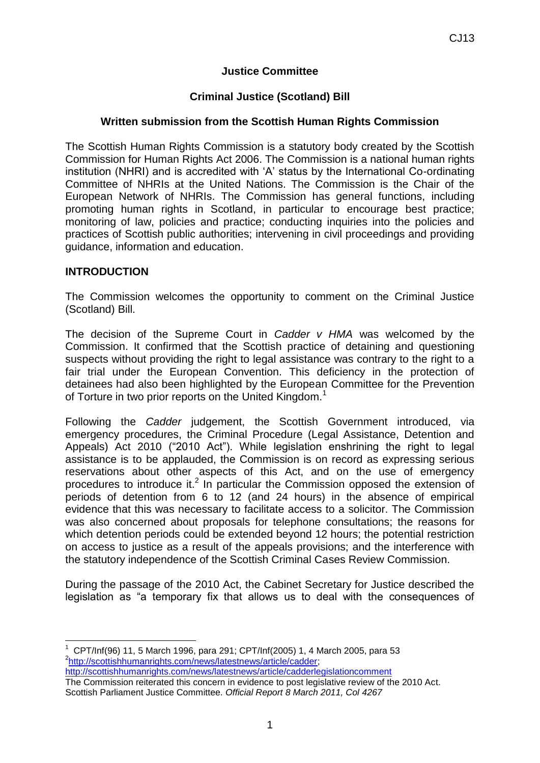### **Justice Committee**

### **Criminal Justice (Scotland) Bill**

#### **Written submission from the Scottish Human Rights Commission**

The Scottish Human Rights Commission is a statutory body created by the Scottish Commission for Human Rights Act 2006. The Commission is a national human rights institution (NHRI) and is accredited with 'A' status by the International Co-ordinating Committee of NHRIs at the United Nations. The Commission is the Chair of the European Network of NHRIs. The Commission has general functions, including promoting human rights in Scotland, in particular to encourage best practice; monitoring of law, policies and practice; conducting inquiries into the policies and practices of Scottish public authorities; intervening in civil proceedings and providing guidance, information and education.

#### **INTRODUCTION**

<u>.</u>

The Commission welcomes the opportunity to comment on the Criminal Justice (Scotland) Bill.

The decision of the Supreme Court in *Cadder v HMA* was welcomed by the Commission. It confirmed that the Scottish practice of detaining and questioning suspects without providing the right to legal assistance was contrary to the right to a fair trial under the European Convention. This deficiency in the protection of detainees had also been highlighted by the European Committee for the Prevention of Torture in two prior reports on the United Kingdom.<sup>1</sup>

Following the *Cadder* judgement, the Scottish Government introduced, via emergency procedures, the Criminal Procedure (Legal Assistance, Detention and Appeals) Act 2010 ("2010 Act"). While legislation enshrining the right to legal assistance is to be applauded, the Commission is on record as expressing serious reservations about other aspects of this Act, and on the use of emergency procedures to introduce it.<sup>2</sup> In particular the Commission opposed the extension of periods of detention from 6 to 12 (and 24 hours) in the absence of empirical evidence that this was necessary to facilitate access to a solicitor. The Commission was also concerned about proposals for telephone consultations; the reasons for which detention periods could be extended beyond 12 hours; the potential restriction on access to justice as a result of the appeals provisions; and the interference with the statutory independence of the Scottish Criminal Cases Review Commission.

During the passage of the 2010 Act, the Cabinet Secretary for Justice described the legislation as "a temporary fix that allows us to deal with the consequences of

The Commission reiterated this concern in evidence to post legislative review of the 2010 Act. Scottish Parliament Justice Committee. *Official Report 8 March 2011, Col 4267*

<sup>1</sup> CPT/Inf(96) 11, 5 March 1996, para 291; CPT/Inf(2005) 1, 4 March 2005, para 53 2 [http://scottishhumanrights.com/news/latestnews/article/cadder;](http://scottishhumanrights.com/news/latestnews/article/cadder) <http://scottishhumanrights.com/news/latestnews/article/cadderlegislationcomment>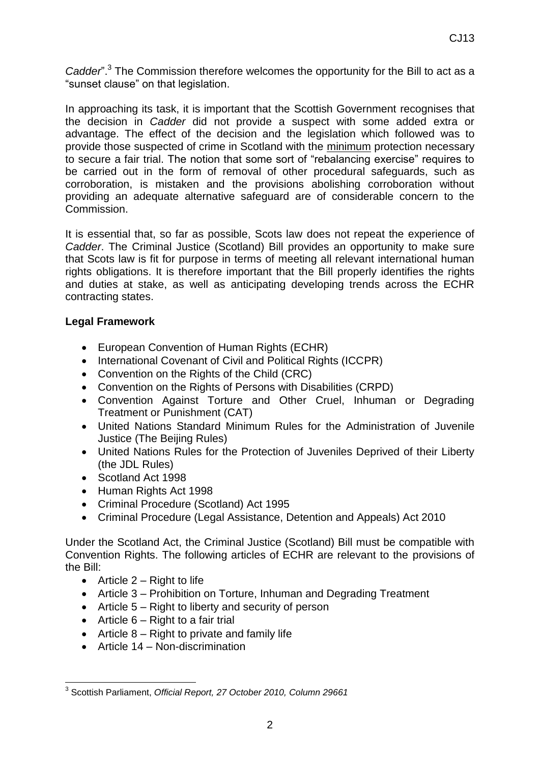Cadder".<sup>3</sup> The Commission therefore welcomes the opportunity for the Bill to act as a "sunset clause" on that legislation.

In approaching its task, it is important that the Scottish Government recognises that the decision in *Cadder* did not provide a suspect with some added extra or advantage. The effect of the decision and the legislation which followed was to provide those suspected of crime in Scotland with the minimum protection necessary to secure a fair trial. The notion that some sort of "rebalancing exercise" requires to be carried out in the form of removal of other procedural safeguards, such as corroboration, is mistaken and the provisions abolishing corroboration without providing an adequate alternative safeguard are of considerable concern to the Commission.

It is essential that, so far as possible, Scots law does not repeat the experience of *Cadder*. The Criminal Justice (Scotland) Bill provides an opportunity to make sure that Scots law is fit for purpose in terms of meeting all relevant international human rights obligations. It is therefore important that the Bill properly identifies the rights and duties at stake, as well as anticipating developing trends across the ECHR contracting states.

#### **Legal Framework**

- European Convention of Human Rights (ECHR)
- International Covenant of Civil and Political Rights (ICCPR)
- Convention on the Rights of the Child (CRC)
- Convention on the Rights of Persons with Disabilities (CRPD)
- Convention Against Torture and Other Cruel, Inhuman or Degrading Treatment or Punishment (CAT)
- United Nations Standard Minimum Rules for the Administration of Juvenile Justice (The Beijing Rules)
- United Nations Rules for the Protection of Juveniles Deprived of their Liberty (the JDL Rules)
- Scotland Act 1998
- Human Rights Act 1998
- Criminal Procedure (Scotland) Act 1995
- Criminal Procedure (Legal Assistance, Detention and Appeals) Act 2010

Under the Scotland Act, the Criminal Justice (Scotland) Bill must be compatible with Convention Rights. The following articles of ECHR are relevant to the provisions of the Bill:

- $\bullet$  Article 2 Right to life
- Article 3 Prohibition on Torture, Inhuman and Degrading Treatment
- Article 5 Right to liberty and security of person
- $\bullet$  Article 6 Right to a fair trial
- $\bullet$  Article 8 Right to private and family life
- Article 14 Non-discrimination

 3 Scottish Parliament, *Official Report, 27 October 2010, Column 29661*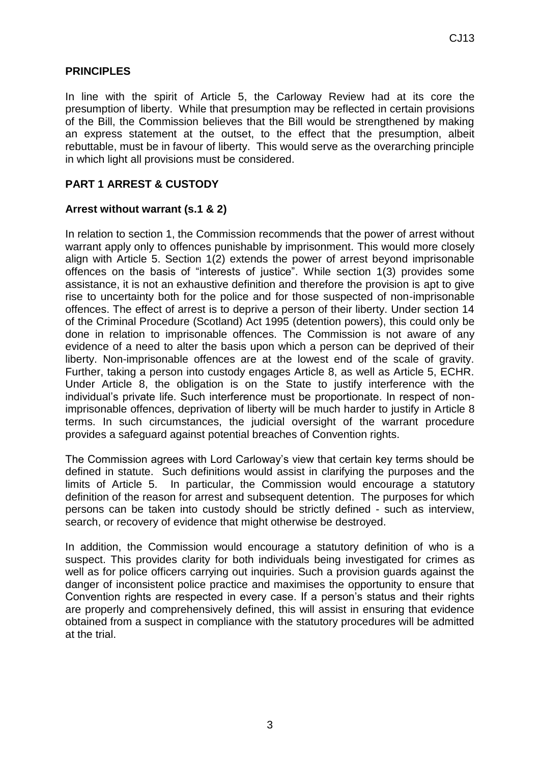### **PRINCIPLES**

In line with the spirit of Article 5, the Carloway Review had at its core the presumption of liberty. While that presumption may be reflected in certain provisions of the Bill, the Commission believes that the Bill would be strengthened by making an express statement at the outset, to the effect that the presumption, albeit rebuttable, must be in favour of liberty. This would serve as the overarching principle in which light all provisions must be considered.

### **PART 1 ARREST & CUSTODY**

#### **Arrest without warrant (s.1 & 2)**

In relation to section 1, the Commission recommends that the power of arrest without warrant apply only to offences punishable by imprisonment. This would more closely align with Article 5. Section 1(2) extends the power of arrest beyond imprisonable offences on the basis of "interests of justice". While section 1(3) provides some assistance, it is not an exhaustive definition and therefore the provision is apt to give rise to uncertainty both for the police and for those suspected of non-imprisonable offences. The effect of arrest is to deprive a person of their liberty. Under section 14 of the Criminal Procedure (Scotland) Act 1995 (detention powers), this could only be done in relation to imprisonable offences. The Commission is not aware of any evidence of a need to alter the basis upon which a person can be deprived of their liberty. Non-imprisonable offences are at the lowest end of the scale of gravity. Further, taking a person into custody engages Article 8, as well as Article 5, ECHR. Under Article 8, the obligation is on the State to justify interference with the individual's private life. Such interference must be proportionate. In respect of nonimprisonable offences, deprivation of liberty will be much harder to justify in Article 8 terms. In such circumstances, the judicial oversight of the warrant procedure provides a safeguard against potential breaches of Convention rights.

The Commission agrees with Lord Carloway's view that certain key terms should be defined in statute. Such definitions would assist in clarifying the purposes and the limits of Article 5. In particular, the Commission would encourage a statutory definition of the reason for arrest and subsequent detention. The purposes for which persons can be taken into custody should be strictly defined - such as interview, search, or recovery of evidence that might otherwise be destroyed.

In addition, the Commission would encourage a statutory definition of who is a suspect. This provides clarity for both individuals being investigated for crimes as well as for police officers carrying out inquiries. Such a provision guards against the danger of inconsistent police practice and maximises the opportunity to ensure that Convention rights are respected in every case. If a person's status and their rights are properly and comprehensively defined, this will assist in ensuring that evidence obtained from a suspect in compliance with the statutory procedures will be admitted at the trial.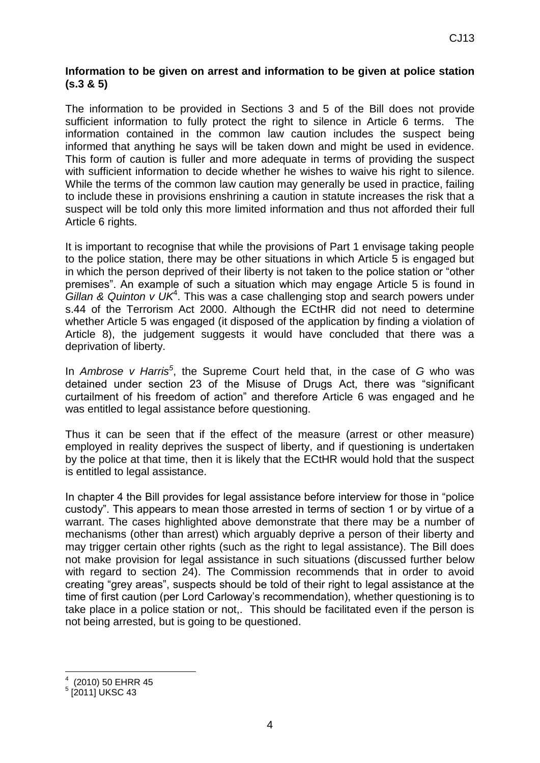### **Information to be given on arrest and information to be given at police station (s.3 & 5)**

The information to be provided in Sections 3 and 5 of the Bill does not provide sufficient information to fully protect the right to silence in Article 6 terms. The information contained in the common law caution includes the suspect being informed that anything he says will be taken down and might be used in evidence. This form of caution is fuller and more adequate in terms of providing the suspect with sufficient information to decide whether he wishes to waive his right to silence. While the terms of the common law caution may generally be used in practice, failing to include these in provisions enshrining a caution in statute increases the risk that a suspect will be told only this more limited information and thus not afforded their full Article 6 rights.

It is important to recognise that while the provisions of Part 1 envisage taking people to the police station, there may be other situations in which Article 5 is engaged but in which the person deprived of their liberty is not taken to the police station or "other premises". An example of such a situation which may engage Article 5 is found in *Gillan & Quinton v UK*<sup>4</sup> . This was a case challenging stop and search powers under s.44 of the Terrorism Act 2000. Although the ECtHR did not need to determine whether Article 5 was engaged (it disposed of the application by finding a violation of Article 8), the judgement suggests it would have concluded that there was a deprivation of liberty.

In *Ambrose v Harris<sup>5</sup>* , the Supreme Court held that, in the case of *G* who was detained under section 23 of the Misuse of Drugs Act, there was "significant curtailment of his freedom of action" and therefore Article 6 was engaged and he was entitled to legal assistance before questioning.

Thus it can be seen that if the effect of the measure (arrest or other measure) employed in reality deprives the suspect of liberty, and if questioning is undertaken by the police at that time, then it is likely that the ECtHR would hold that the suspect is entitled to legal assistance.

In chapter 4 the Bill provides for legal assistance before interview for those in "police custody". This appears to mean those arrested in terms of section 1 or by virtue of a warrant. The cases highlighted above demonstrate that there may be a number of mechanisms (other than arrest) which arguably deprive a person of their liberty and may trigger certain other rights (such as the right to legal assistance). The Bill does not make provision for legal assistance in such situations (discussed further below with regard to section 24). The Commission recommends that in order to avoid creating "grey areas", suspects should be told of their right to legal assistance at the time of first caution (per Lord Carloway's recommendation), whether questioning is to take place in a police station or not,. This should be facilitated even if the person is not being arrested, but is going to be questioned.

<sup>&</sup>lt;u>.</u> 4 (2010) 50 EHRR 45

 $^5$  [2011] UKSC 43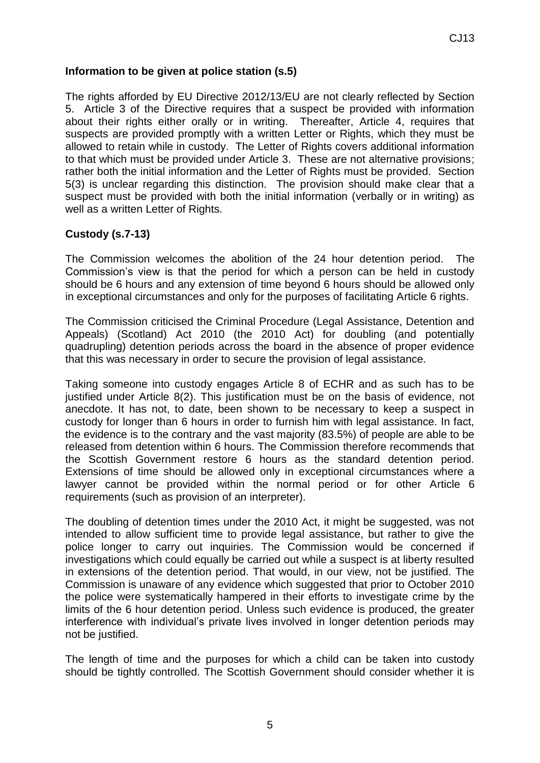### **Information to be given at police station (s.5)**

The rights afforded by EU Directive 2012/13/EU are not clearly reflected by Section 5. Article 3 of the Directive requires that a suspect be provided with information about their rights either orally or in writing. Thereafter, Article 4, requires that suspects are provided promptly with a written Letter or Rights, which they must be allowed to retain while in custody. The Letter of Rights covers additional information to that which must be provided under Article 3. These are not alternative provisions; rather both the initial information and the Letter of Rights must be provided. Section 5(3) is unclear regarding this distinction. The provision should make clear that a suspect must be provided with both the initial information (verbally or in writing) as well as a written Letter of Rights.

#### **Custody (s.7-13)**

The Commission welcomes the abolition of the 24 hour detention period. The Commission's view is that the period for which a person can be held in custody should be 6 hours and any extension of time beyond 6 hours should be allowed only in exceptional circumstances and only for the purposes of facilitating Article 6 rights.

The Commission criticised the Criminal Procedure (Legal Assistance, Detention and Appeals) (Scotland) Act 2010 (the 2010 Act) for doubling (and potentially quadrupling) detention periods across the board in the absence of proper evidence that this was necessary in order to secure the provision of legal assistance.

Taking someone into custody engages Article 8 of ECHR and as such has to be justified under Article 8(2). This justification must be on the basis of evidence, not anecdote. It has not, to date, been shown to be necessary to keep a suspect in custody for longer than 6 hours in order to furnish him with legal assistance. In fact, the evidence is to the contrary and the vast majority (83.5%) of people are able to be released from detention within 6 hours. The Commission therefore recommends that the Scottish Government restore 6 hours as the standard detention period. Extensions of time should be allowed only in exceptional circumstances where a lawyer cannot be provided within the normal period or for other Article 6 requirements (such as provision of an interpreter).

The doubling of detention times under the 2010 Act, it might be suggested, was not intended to allow sufficient time to provide legal assistance, but rather to give the police longer to carry out inquiries. The Commission would be concerned if investigations which could equally be carried out while a suspect is at liberty resulted in extensions of the detention period. That would, in our view, not be justified. The Commission is unaware of any evidence which suggested that prior to October 2010 the police were systematically hampered in their efforts to investigate crime by the limits of the 6 hour detention period. Unless such evidence is produced, the greater interference with individual's private lives involved in longer detention periods may not be justified.

The length of time and the purposes for which a child can be taken into custody should be tightly controlled. The Scottish Government should consider whether it is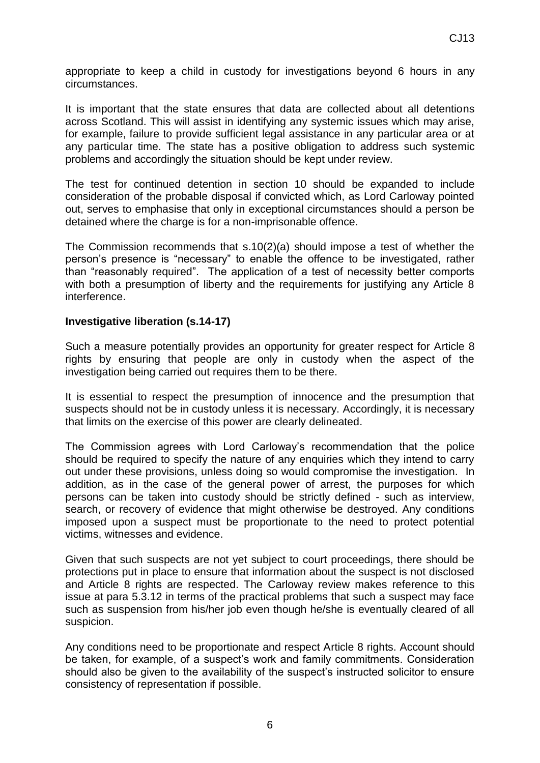appropriate to keep a child in custody for investigations beyond 6 hours in any circumstances.

It is important that the state ensures that data are collected about all detentions across Scotland. This will assist in identifying any systemic issues which may arise, for example, failure to provide sufficient legal assistance in any particular area or at any particular time. The state has a positive obligation to address such systemic problems and accordingly the situation should be kept under review.

The test for continued detention in section 10 should be expanded to include consideration of the probable disposal if convicted which, as Lord Carloway pointed out, serves to emphasise that only in exceptional circumstances should a person be detained where the charge is for a non-imprisonable offence.

The Commission recommends that s.10(2)(a) should impose a test of whether the person's presence is "necessary" to enable the offence to be investigated, rather than "reasonably required". The application of a test of necessity better comports with both a presumption of liberty and the requirements for justifying any Article 8 interference.

#### **Investigative liberation (s.14-17)**

Such a measure potentially provides an opportunity for greater respect for Article 8 rights by ensuring that people are only in custody when the aspect of the investigation being carried out requires them to be there.

It is essential to respect the presumption of innocence and the presumption that suspects should not be in custody unless it is necessary. Accordingly, it is necessary that limits on the exercise of this power are clearly delineated.

The Commission agrees with Lord Carloway's recommendation that the police should be required to specify the nature of any enquiries which they intend to carry out under these provisions, unless doing so would compromise the investigation. In addition, as in the case of the general power of arrest, the purposes for which persons can be taken into custody should be strictly defined - such as interview, search, or recovery of evidence that might otherwise be destroyed. Any conditions imposed upon a suspect must be proportionate to the need to protect potential victims, witnesses and evidence.

Given that such suspects are not yet subject to court proceedings, there should be protections put in place to ensure that information about the suspect is not disclosed and Article 8 rights are respected. The Carloway review makes reference to this issue at para 5.3.12 in terms of the practical problems that such a suspect may face such as suspension from his/her job even though he/she is eventually cleared of all suspicion.

Any conditions need to be proportionate and respect Article 8 rights. Account should be taken, for example, of a suspect's work and family commitments. Consideration should also be given to the availability of the suspect's instructed solicitor to ensure consistency of representation if possible.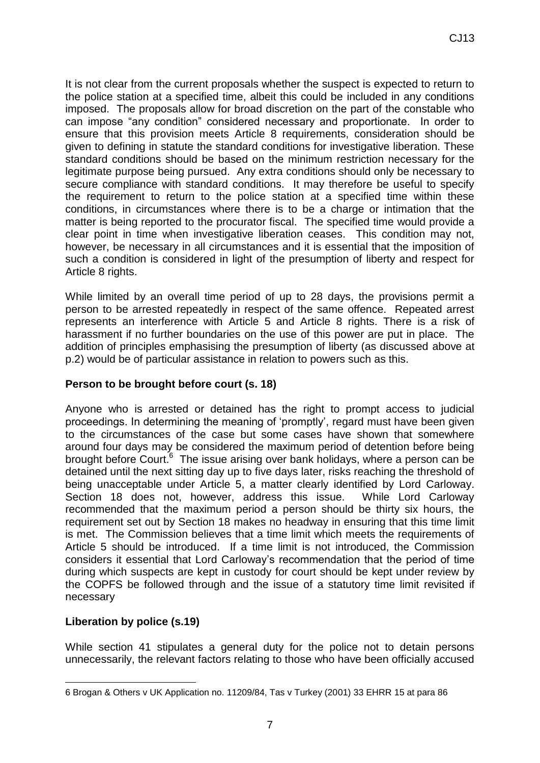It is not clear from the current proposals whether the suspect is expected to return to the police station at a specified time, albeit this could be included in any conditions imposed. The proposals allow for broad discretion on the part of the constable who can impose "any condition" considered necessary and proportionate. In order to ensure that this provision meets Article 8 requirements, consideration should be given to defining in statute the standard conditions for investigative liberation. These standard conditions should be based on the minimum restriction necessary for the legitimate purpose being pursued. Any extra conditions should only be necessary to secure compliance with standard conditions. It may therefore be useful to specify the requirement to return to the police station at a specified time within these conditions, in circumstances where there is to be a charge or intimation that the matter is being reported to the procurator fiscal. The specified time would provide a clear point in time when investigative liberation ceases. This condition may not, however, be necessary in all circumstances and it is essential that the imposition of such a condition is considered in light of the presumption of liberty and respect for Article 8 rights.

While limited by an overall time period of up to 28 days, the provisions permit a person to be arrested repeatedly in respect of the same offence. Repeated arrest represents an interference with Article 5 and Article 8 rights. There is a risk of harassment if no further boundaries on the use of this power are put in place. The addition of principles emphasising the presumption of liberty (as discussed above at p.2) would be of particular assistance in relation to powers such as this.

## **Person to be brought before court (s. 18)**

Anyone who is arrested or detained has the right to prompt access to judicial proceedings. In determining the meaning of 'promptly', regard must have been given to the circumstances of the case but some cases have shown that somewhere around four days may be considered the maximum period of detention before being brought before Court.<sup>6</sup> The issue arising over bank holidays, where a person can be detained until the next sitting day up to five days later, risks reaching the threshold of being unacceptable under Article 5, a matter clearly identified by Lord Carloway. Section 18 does not, however, address this issue. While Lord Carloway recommended that the maximum period a person should be thirty six hours, the requirement set out by Section 18 makes no headway in ensuring that this time limit is met. The Commission believes that a time limit which meets the requirements of Article 5 should be introduced. If a time limit is not introduced, the Commission considers it essential that Lord Carloway's recommendation that the period of time during which suspects are kept in custody for court should be kept under review by the COPFS be followed through and the issue of a statutory time limit revisited if necessary

## **Liberation by police (s.19)**

1

While section 41 stipulates a general duty for the police not to detain persons unnecessarily, the relevant factors relating to those who have been officially accused

<sup>6</sup> Brogan & Others v UK Application no. 11209/84, Tas v Turkey (2001) 33 EHRR 15 at para 86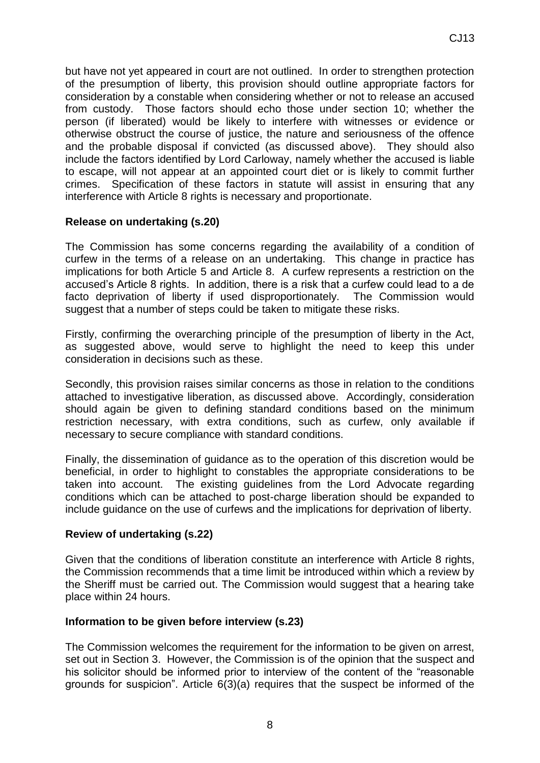but have not yet appeared in court are not outlined. In order to strengthen protection of the presumption of liberty, this provision should outline appropriate factors for consideration by a constable when considering whether or not to release an accused from custody. Those factors should echo those under section 10; whether the person (if liberated) would be likely to interfere with witnesses or evidence or otherwise obstruct the course of justice, the nature and seriousness of the offence and the probable disposal if convicted (as discussed above). They should also include the factors identified by Lord Carloway, namely whether the accused is liable to escape, will not appear at an appointed court diet or is likely to commit further crimes. Specification of these factors in statute will assist in ensuring that any interference with Article 8 rights is necessary and proportionate.

## **Release on undertaking (s.20)**

The Commission has some concerns regarding the availability of a condition of curfew in the terms of a release on an undertaking. This change in practice has implications for both Article 5 and Article 8. A curfew represents a restriction on the accused's Article 8 rights. In addition, there is a risk that a curfew could lead to a de facto deprivation of liberty if used disproportionately. The Commission would suggest that a number of steps could be taken to mitigate these risks.

Firstly, confirming the overarching principle of the presumption of liberty in the Act, as suggested above, would serve to highlight the need to keep this under consideration in decisions such as these.

Secondly, this provision raises similar concerns as those in relation to the conditions attached to investigative liberation, as discussed above. Accordingly, consideration should again be given to defining standard conditions based on the minimum restriction necessary, with extra conditions, such as curfew, only available if necessary to secure compliance with standard conditions.

Finally, the dissemination of guidance as to the operation of this discretion would be beneficial, in order to highlight to constables the appropriate considerations to be taken into account. The existing guidelines from the Lord Advocate regarding conditions which can be attached to post-charge liberation should be expanded to include guidance on the use of curfews and the implications for deprivation of liberty.

## **Review of undertaking (s.22)**

Given that the conditions of liberation constitute an interference with Article 8 rights, the Commission recommends that a time limit be introduced within which a review by the Sheriff must be carried out. The Commission would suggest that a hearing take place within 24 hours.

## **Information to be given before interview (s.23)**

The Commission welcomes the requirement for the information to be given on arrest, set out in Section 3. However, the Commission is of the opinion that the suspect and his solicitor should be informed prior to interview of the content of the "reasonable grounds for suspicion". Article 6(3)(a) requires that the suspect be informed of the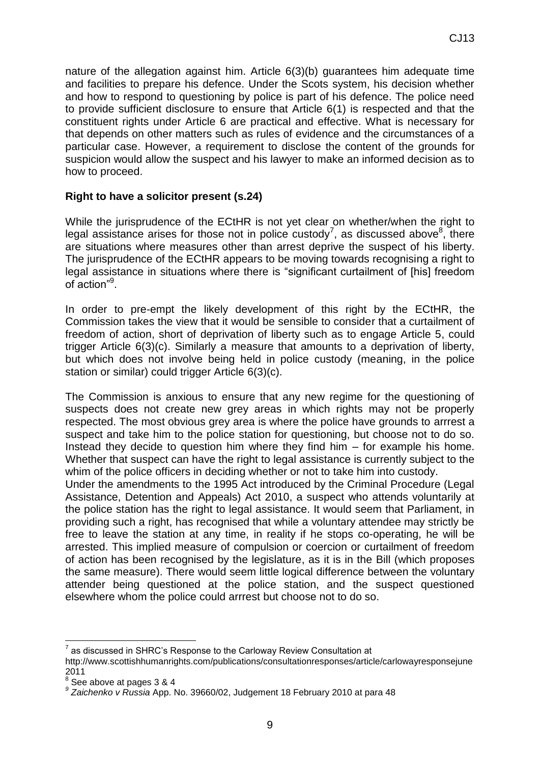nature of the allegation against him. Article 6(3)(b) guarantees him adequate time and facilities to prepare his defence. Under the Scots system, his decision whether and how to respond to questioning by police is part of his defence. The police need to provide sufficient disclosure to ensure that Article 6(1) is respected and that the constituent rights under Article 6 are practical and effective. What is necessary for that depends on other matters such as rules of evidence and the circumstances of a particular case. However, a requirement to disclose the content of the grounds for suspicion would allow the suspect and his lawyer to make an informed decision as to how to proceed.

## **Right to have a solicitor present (s.24)**

While the jurisprudence of the ECtHR is not yet clear on whether/when the right to legal assistance arises for those not in police custody<sup>7</sup>, as discussed above<sup>8</sup>, there are situations where measures other than arrest deprive the suspect of his liberty. The jurisprudence of the ECtHR appears to be moving towards recognising a right to legal assistance in situations where there is "significant curtailment of [his] freedom of action"<sup>9</sup>.

In order to pre-empt the likely development of this right by the ECtHR, the Commission takes the view that it would be sensible to consider that a curtailment of freedom of action, short of deprivation of liberty such as to engage Article 5, could trigger Article 6(3)(c). Similarly a measure that amounts to a deprivation of liberty, but which does not involve being held in police custody (meaning, in the police station or similar) could trigger Article 6(3)(c).

The Commission is anxious to ensure that any new regime for the questioning of suspects does not create new grey areas in which rights may not be properly respected. The most obvious grey area is where the police have grounds to arrrest a suspect and take him to the police station for questioning, but choose not to do so. Instead they decide to question him where they find him – for example his home. Whether that suspect can have the right to legal assistance is currently subject to the whim of the police officers in deciding whether or not to take him into custody.

Under the amendments to the 1995 Act introduced by the Criminal Procedure (Legal Assistance, Detention and Appeals) Act 2010, a suspect who attends voluntarily at the police station has the right to legal assistance. It would seem that Parliament, in providing such a right, has recognised that while a voluntary attendee may strictly be free to leave the station at any time, in reality if he stops co-operating, he will be arrested. This implied measure of compulsion or coercion or curtailment of freedom of action has been recognised by the legislature, as it is in the Bill (which proposes the same measure). There would seem little logical difference between the voluntary attender being questioned at the police station, and the suspect questioned elsewhere whom the police could arrrest but choose not to do so.

<sup>&</sup>lt;u>.</u> 7 as discussed in SHRC's Response to the Carloway Review Consultation at

http://www.scottishhumanrights.com/publications/consultationresponses/article/carlowayresponsejune 2011

 $8<sup>8</sup>$  See above at pages 3 & 4

*<sup>9</sup> Zaichenko v Russia* App. No. 39660/02, Judgement 18 February 2010 at para 48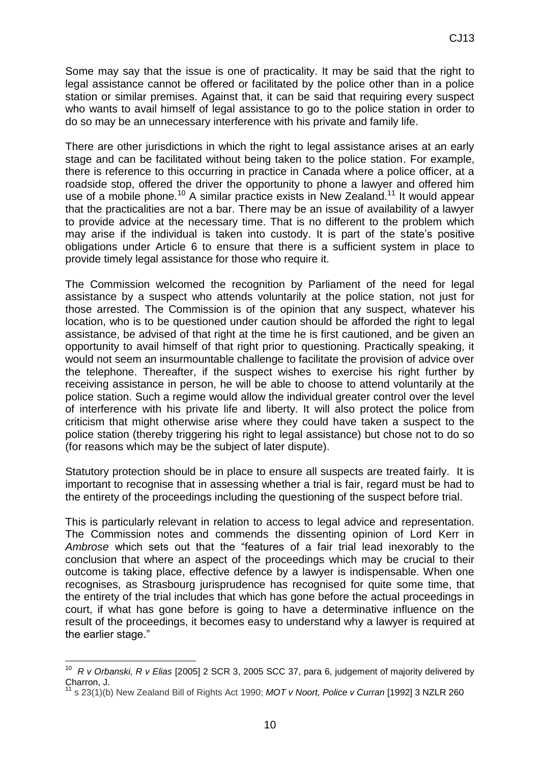Some may say that the issue is one of practicality. It may be said that the right to legal assistance cannot be offered or facilitated by the police other than in a police station or similar premises. Against that, it can be said that requiring every suspect who wants to avail himself of legal assistance to go to the police station in order to do so may be an unnecessary interference with his private and family life.

There are other jurisdictions in which the right to legal assistance arises at an early stage and can be facilitated without being taken to the police station. For example, there is reference to this occurring in practice in Canada where a police officer, at a roadside stop, offered the driver the opportunity to phone a lawyer and offered him use of a mobile phone.<sup>10</sup> A similar practice exists in New Zealand.<sup>11</sup> It would appear that the practicalities are not a bar. There may be an issue of availability of a lawyer to provide advice at the necessary time. That is no different to the problem which may arise if the individual is taken into custody. It is part of the state's positive obligations under Article 6 to ensure that there is a sufficient system in place to provide timely legal assistance for those who require it.

The Commission welcomed the recognition by Parliament of the need for legal assistance by a suspect who attends voluntarily at the police station, not just for those arrested. The Commission is of the opinion that any suspect, whatever his location, who is to be questioned under caution should be afforded the right to legal assistance, be advised of that right at the time he is first cautioned, and be given an opportunity to avail himself of that right prior to questioning. Practically speaking, it would not seem an insurmountable challenge to facilitate the provision of advice over the telephone. Thereafter, if the suspect wishes to exercise his right further by receiving assistance in person, he will be able to choose to attend voluntarily at the police station. Such a regime would allow the individual greater control over the level of interference with his private life and liberty. It will also protect the police from criticism that might otherwise arise where they could have taken a suspect to the police station (thereby triggering his right to legal assistance) but chose not to do so (for reasons which may be the subject of later dispute).

Statutory protection should be in place to ensure all suspects are treated fairly. It is important to recognise that in assessing whether a trial is fair, regard must be had to the entirety of the proceedings including the questioning of the suspect before trial.

This is particularly relevant in relation to access to legal advice and representation. The Commission notes and commends the dissenting opinion of Lord Kerr in *Ambrose* which sets out that the "features of a fair trial lead inexorably to the conclusion that where an aspect of the proceedings which may be crucial to their outcome is taking place, effective defence by a lawyer is indispensable. When one recognises, as Strasbourg jurisprudence has recognised for quite some time, that the entirety of the trial includes that which has gone before the actual proceedings in court, if what has gone before is going to have a determinative influence on the result of the proceedings, it becomes easy to understand why a lawyer is required at the earlier stage."

 10 *R v Orbanski, R v Elias* [2005] 2 SCR 3, 2005 SCC 37, para 6, judgement of majority delivered by Charron, J.

<sup>11</sup> s 23(1)(b) New Zealand Bill of Rights Act 1990; *MOT v Noort, Police v Curran* [1992] 3 NZLR 260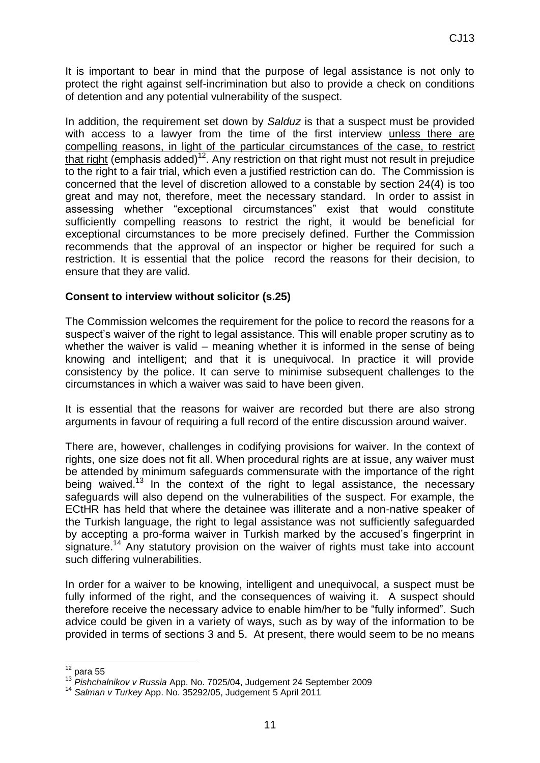It is important to bear in mind that the purpose of legal assistance is not only to protect the right against self-incrimination but also to provide a check on conditions of detention and any potential vulnerability of the suspect.

In addition, the requirement set down by *Salduz* is that a suspect must be provided with access to a lawyer from the time of the first interview unless there are compelling reasons, in light of the particular circumstances of the case, to restrict that right (emphasis added)<sup>12</sup>. Any restriction on that right must not result in prejudice to the right to a fair trial, which even a justified restriction can do. The Commission is concerned that the level of discretion allowed to a constable by section 24(4) is too great and may not, therefore, meet the necessary standard. In order to assist in assessing whether "exceptional circumstances" exist that would constitute sufficiently compelling reasons to restrict the right, it would be beneficial for exceptional circumstances to be more precisely defined. Further the Commission recommends that the approval of an inspector or higher be required for such a restriction. It is essential that the police record the reasons for their decision, to ensure that they are valid.

#### **Consent to interview without solicitor (s.25)**

The Commission welcomes the requirement for the police to record the reasons for a suspect's waiver of the right to legal assistance. This will enable proper scrutiny as to whether the waiver is valid – meaning whether it is informed in the sense of being knowing and intelligent; and that it is unequivocal. In practice it will provide consistency by the police. It can serve to minimise subsequent challenges to the circumstances in which a waiver was said to have been given.

It is essential that the reasons for waiver are recorded but there are also strong arguments in favour of requiring a full record of the entire discussion around waiver.

There are, however, challenges in codifying provisions for waiver. In the context of rights, one size does not fit all. When procedural rights are at issue, any waiver must be attended by minimum safeguards commensurate with the importance of the right being waived.<sup>13</sup> In the context of the right to legal assistance, the necessary safeguards will also depend on the vulnerabilities of the suspect. For example, the ECtHR has held that where the detainee was illiterate and a non-native speaker of the Turkish language, the right to legal assistance was not sufficiently safeguarded by accepting a pro-forma waiver in Turkish marked by the accused's fingerprint in signature.<sup>14</sup> Any statutory provision on the waiver of rights must take into account such differing vulnerabilities.

In order for a waiver to be knowing, intelligent and unequivocal, a suspect must be fully informed of the right, and the consequences of waiving it. A suspect should therefore receive the necessary advice to enable him/her to be "fully informed". Such advice could be given in a variety of ways, such as by way of the information to be provided in terms of sections 3 and 5. At present, there would seem to be no means

<u>.</u>

 $12$  para 55

<sup>13</sup> *Pishchalnikov v Russia* App. No. 7025/04, Judgement 24 September 2009

<sup>14</sup> *Salman v Turkey* App. No. 35292/05, Judgement 5 April 2011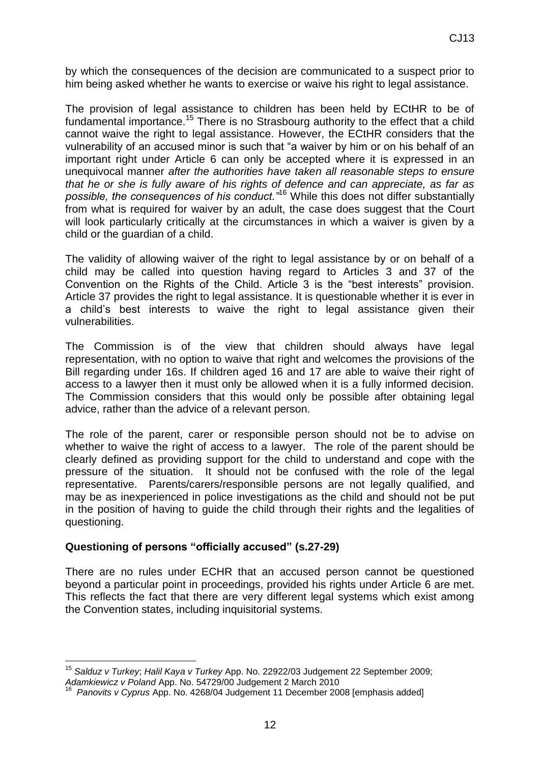by which the consequences of the decision are communicated to a suspect prior to him being asked whether he wants to exercise or waive his right to legal assistance.

The provision of legal assistance to children has been held by ECtHR to be of fundamental importance.<sup>15</sup> There is no Strasbourg authority to the effect that a child cannot waive the right to legal assistance. However, the ECtHR considers that the vulnerability of an accused minor is such that "a waiver by him or on his behalf of an important right under Article 6 can only be accepted where it is expressed in an unequivocal manner *after the authorities have taken all reasonable steps to ensure that he or she is fully aware of his rights of defence and can appreciate, as far as possible, the consequences of his conduct."*<sup>16</sup> While this does not differ substantially from what is required for waiver by an adult, the case does suggest that the Court will look particularly critically at the circumstances in which a waiver is given by a child or the guardian of a child.

The validity of allowing waiver of the right to legal assistance by or on behalf of a child may be called into question having regard to Articles 3 and 37 of the Convention on the Rights of the Child. Article 3 is the "best interests" provision. Article 37 provides the right to legal assistance. It is questionable whether it is ever in a child's best interests to waive the right to legal assistance given their vulnerabilities.

The Commission is of the view that children should always have legal representation, with no option to waive that right and welcomes the provisions of the Bill regarding under 16s. If children aged 16 and 17 are able to waive their right of access to a lawyer then it must only be allowed when it is a fully informed decision. The Commission considers that this would only be possible after obtaining legal advice, rather than the advice of a relevant person.

The role of the parent, carer or responsible person should not be to advise on whether to waive the right of access to a lawyer. The role of the parent should be clearly defined as providing support for the child to understand and cope with the pressure of the situation. It should not be confused with the role of the legal representative. Parents/carers/responsible persons are not legally qualified, and may be as inexperienced in police investigations as the child and should not be put in the position of having to guide the child through their rights and the legalities of questioning.

## **Questioning of persons "officially accused" (s.27-29)**

There are no rules under ECHR that an accused person cannot be questioned beyond a particular point in proceedings, provided his rights under Article 6 are met. This reflects the fact that there are very different legal systems which exist among the Convention states, including inquisitorial systems.

<sup>&</sup>lt;u>.</u> <sup>15</sup> *Salduz v Turkey*; *Halil Kaya v Turkey* App. No. 22922/03 Judgement 22 September 2009; *Adamkiewicz v Poland* App. No. 54729/00 Judgement 2 March 2010 16

*Panovits v Cyprus* App. No. 4268/04 Judgement 11 December 2008 [emphasis added]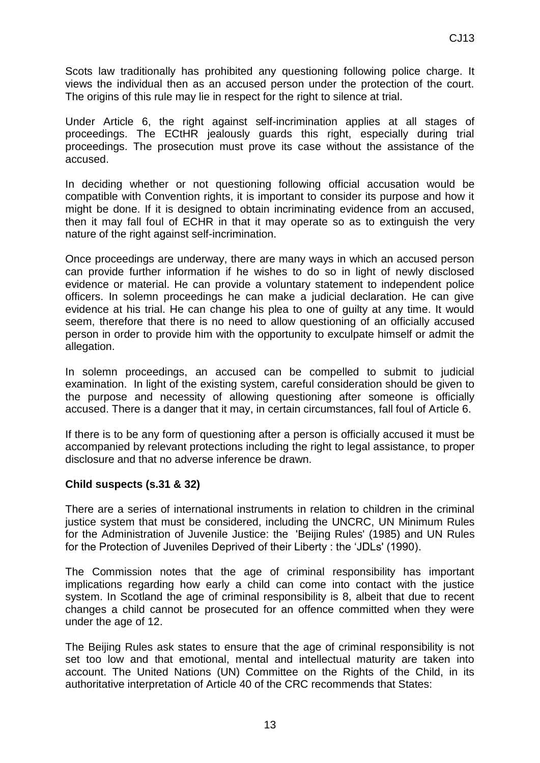Scots law traditionally has prohibited any questioning following police charge. It views the individual then as an accused person under the protection of the court. The origins of this rule may lie in respect for the right to silence at trial.

Under Article 6, the right against self-incrimination applies at all stages of proceedings. The ECtHR jealously guards this right, especially during trial proceedings. The prosecution must prove its case without the assistance of the accused.

In deciding whether or not questioning following official accusation would be compatible with Convention rights, it is important to consider its purpose and how it might be done. If it is designed to obtain incriminating evidence from an accused, then it may fall foul of ECHR in that it may operate so as to extinguish the very nature of the right against self-incrimination.

Once proceedings are underway, there are many ways in which an accused person can provide further information if he wishes to do so in light of newly disclosed evidence or material. He can provide a voluntary statement to independent police officers. In solemn proceedings he can make a judicial declaration. He can give evidence at his trial. He can change his plea to one of guilty at any time. It would seem, therefore that there is no need to allow questioning of an officially accused person in order to provide him with the opportunity to exculpate himself or admit the allegation.

In solemn proceedings, an accused can be compelled to submit to judicial examination. In light of the existing system, careful consideration should be given to the purpose and necessity of allowing questioning after someone is officially accused. There is a danger that it may, in certain circumstances, fall foul of Article 6.

If there is to be any form of questioning after a person is officially accused it must be accompanied by relevant protections including the right to legal assistance, to proper disclosure and that no adverse inference be drawn.

#### **Child suspects (s.31 & 32)**

There are a series of international instruments in relation to children in the criminal justice system that must be considered, including the UNCRC, [UN Minimum Rules](http://www2.ohchr.org/english/law/beijingrules.htm)  [for the Administration of Juvenile Justice: the](http://www2.ohchr.org/english/law/beijingrules.htm) 'Beijing Rules' (1985) and [UN Rules](http://www2.ohchr.org/english/law/res45_113.htm)  [for the Protection of Juveniles Deprived of their Liberty : the 'JDLs' \(1990\).](http://www2.ohchr.org/english/law/res45_113.htm)

The Commission notes that the age of criminal responsibility has important implications regarding how early a child can come into contact with the justice system. In Scotland the age of criminal responsibility is 8, albeit that due to recent changes a child cannot be prosecuted for an offence committed when they were under the age of 12.

The Beijing Rules ask states to ensure that the age of criminal responsibility is not set too low and that emotional, mental and intellectual maturity are taken into account. The United Nations (UN) Committee on the Rights of the Child, in its authoritative interpretation of Article 40 of the CRC recommends that States: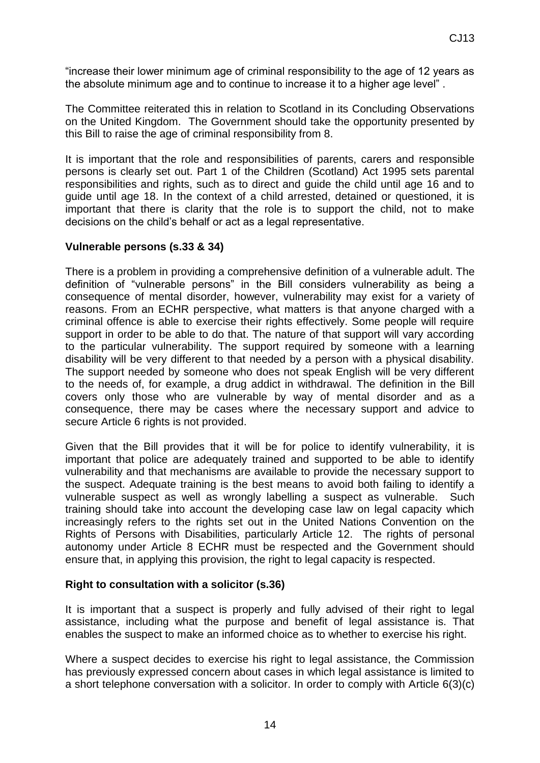"increase their lower minimum age of criminal responsibility to the age of 12 years as the absolute minimum age and to continue to increase it to a higher age level" .

The Committee reiterated this in relation to Scotland in its Concluding Observations on the United Kingdom. The Government should take the opportunity presented by this Bill to raise the age of criminal responsibility from 8.

It is important that the role and responsibilities of parents, carers and responsible persons is clearly set out. Part 1 of the Children (Scotland) Act 1995 sets parental responsibilities and rights, such as to direct and guide the child until age 16 and to guide until age 18. In the context of a child arrested, detained or questioned, it is important that there is clarity that the role is to support the child, not to make decisions on the child's behalf or act as a legal representative.

#### **Vulnerable persons (s.33 & 34)**

There is a problem in providing a comprehensive definition of a vulnerable adult. The definition of "vulnerable persons" in the Bill considers vulnerability as being a consequence of mental disorder, however, vulnerability may exist for a variety of reasons. From an ECHR perspective, what matters is that anyone charged with a criminal offence is able to exercise their rights effectively. Some people will require support in order to be able to do that. The nature of that support will vary according to the particular vulnerability. The support required by someone with a learning disability will be very different to that needed by a person with a physical disability. The support needed by someone who does not speak English will be very different to the needs of, for example, a drug addict in withdrawal. The definition in the Bill covers only those who are vulnerable by way of mental disorder and as a consequence, there may be cases where the necessary support and advice to secure Article 6 rights is not provided.

Given that the Bill provides that it will be for police to identify vulnerability, it is important that police are adequately trained and supported to be able to identify vulnerability and that mechanisms are available to provide the necessary support to the suspect. Adequate training is the best means to avoid both failing to identify a vulnerable suspect as well as wrongly labelling a suspect as vulnerable. Such training should take into account the developing case law on legal capacity which increasingly refers to the rights set out in the United Nations Convention on the Rights of Persons with Disabilities, particularly Article 12. The rights of personal autonomy under Article 8 ECHR must be respected and the Government should ensure that, in applying this provision, the right to legal capacity is respected.

#### **Right to consultation with a solicitor (s.36)**

It is important that a suspect is properly and fully advised of their right to legal assistance, including what the purpose and benefit of legal assistance is. That enables the suspect to make an informed choice as to whether to exercise his right.

Where a suspect decides to exercise his right to legal assistance, the Commission has previously expressed concern about cases in which legal assistance is limited to a short telephone conversation with a solicitor. In order to comply with Article 6(3)(c)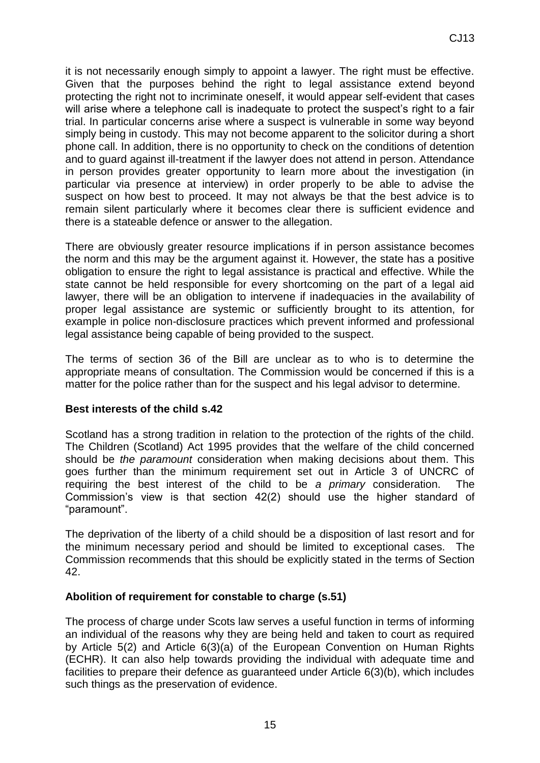it is not necessarily enough simply to appoint a lawyer. The right must be effective. Given that the purposes behind the right to legal assistance extend beyond protecting the right not to incriminate oneself, it would appear self-evident that cases will arise where a telephone call is inadequate to protect the suspect's right to a fair trial. In particular concerns arise where a suspect is vulnerable in some way beyond simply being in custody. This may not become apparent to the solicitor during a short phone call. In addition, there is no opportunity to check on the conditions of detention and to guard against ill-treatment if the lawyer does not attend in person. Attendance in person provides greater opportunity to learn more about the investigation (in particular via presence at interview) in order properly to be able to advise the suspect on how best to proceed. It may not always be that the best advice is to remain silent particularly where it becomes clear there is sufficient evidence and there is a stateable defence or answer to the allegation.

There are obviously greater resource implications if in person assistance becomes the norm and this may be the argument against it. However, the state has a positive obligation to ensure the right to legal assistance is practical and effective. While the state cannot be held responsible for every shortcoming on the part of a legal aid lawyer, there will be an obligation to intervene if inadequacies in the availability of proper legal assistance are systemic or sufficiently brought to its attention, for example in police non-disclosure practices which prevent informed and professional legal assistance being capable of being provided to the suspect.

The terms of section 36 of the Bill are unclear as to who is to determine the appropriate means of consultation. The Commission would be concerned if this is a matter for the police rather than for the suspect and his legal advisor to determine.

## **Best interests of the child s.42**

Scotland has a strong tradition in relation to the protection of the rights of the child. The Children (Scotland) Act 1995 provides that the welfare of the child concerned should be *the paramount* consideration when making decisions about them. This goes further than the minimum requirement set out in Article 3 of UNCRC of requiring the best interest of the child to be *a primary* consideration. The Commission's view is that section 42(2) should use the higher standard of "paramount".

The deprivation of the liberty of a child should be a disposition of last resort and for the minimum necessary period and should be limited to exceptional cases. The Commission recommends that this should be explicitly stated in the terms of Section 42.

#### **Abolition of requirement for constable to charge (s.51)**

The process of charge under Scots law serves a useful function in terms of informing an individual of the reasons why they are being held and taken to court as required by Article 5(2) and Article 6(3)(a) of the European Convention on Human Rights (ECHR). It can also help towards providing the individual with adequate time and facilities to prepare their defence as guaranteed under Article 6(3)(b), which includes such things as the preservation of evidence.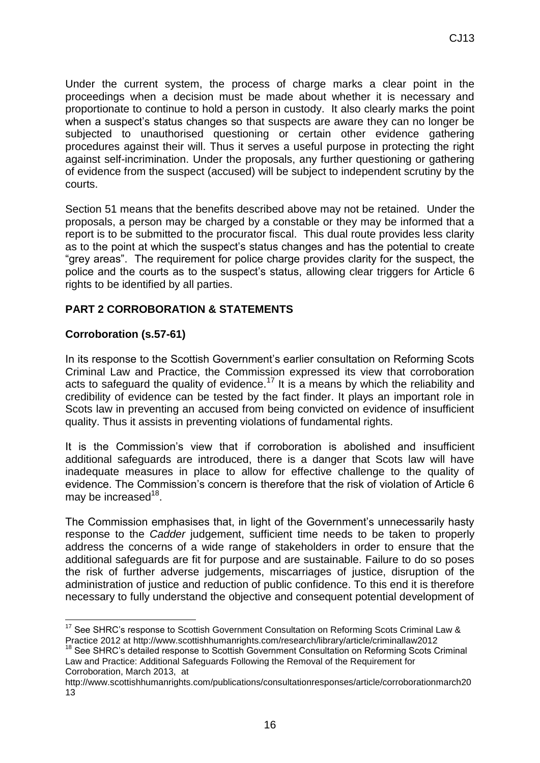Under the current system, the process of charge marks a clear point in the proceedings when a decision must be made about whether it is necessary and proportionate to continue to hold a person in custody. It also clearly marks the point when a suspect's status changes so that suspects are aware they can no longer be subjected to unauthorised questioning or certain other evidence gathering procedures against their will. Thus it serves a useful purpose in protecting the right against self-incrimination. Under the proposals, any further questioning or gathering of evidence from the suspect (accused) will be subject to independent scrutiny by the courts.

Section 51 means that the benefits described above may not be retained. Under the proposals, a person may be charged by a constable or they may be informed that a report is to be submitted to the procurator fiscal. This dual route provides less clarity as to the point at which the suspect's status changes and has the potential to create "grey areas". The requirement for police charge provides clarity for the suspect, the police and the courts as to the suspect's status, allowing clear triggers for Article 6 rights to be identified by all parties.

## **PART 2 CORROBORATION & STATEMENTS**

## **Corroboration (s.57-61)**

1

In its response to the Scottish Government's earlier consultation on Reforming Scots Criminal Law and Practice, the Commission expressed its view that corroboration acts to safeguard the quality of evidence.<sup>17</sup> It is a means by which the reliability and credibility of evidence can be tested by the fact finder. It plays an important role in Scots law in preventing an accused from being convicted on evidence of insufficient quality. Thus it assists in preventing violations of fundamental rights.

It is the Commission's view that if corroboration is abolished and insufficient additional safeguards are introduced, there is a danger that Scots law will have inadequate measures in place to allow for effective challenge to the quality of evidence. The Commission's concern is therefore that the risk of violation of Article 6 may be increased<sup>18</sup>.

The Commission emphasises that, in light of the Government's unnecessarily hasty response to the *Cadder* judgement, sufficient time needs to be taken to properly address the concerns of a wide range of stakeholders in order to ensure that the additional safeguards are fit for purpose and are sustainable. Failure to do so poses the risk of further adverse judgements, miscarriages of justice, disruption of the administration of justice and reduction of public confidence. To this end it is therefore necessary to fully understand the objective and consequent potential development of

 $17$  See SHRC's response to Scottish Government Consultation on Reforming Scots Criminal Law & Practice 2012 at http://www.scottishhumanrights.com/research/library/article/criminallaw2012

<sup>&</sup>lt;sup>18</sup> See SHRC's detailed response to Scottish Government Consultation on Reforming Scots Criminal Law and Practice: Additional Safeguards Following the Removal of the Requirement for Corroboration, March 2013, at

http://www.scottishhumanrights.com/publications/consultationresponses/article/corroborationmarch20 13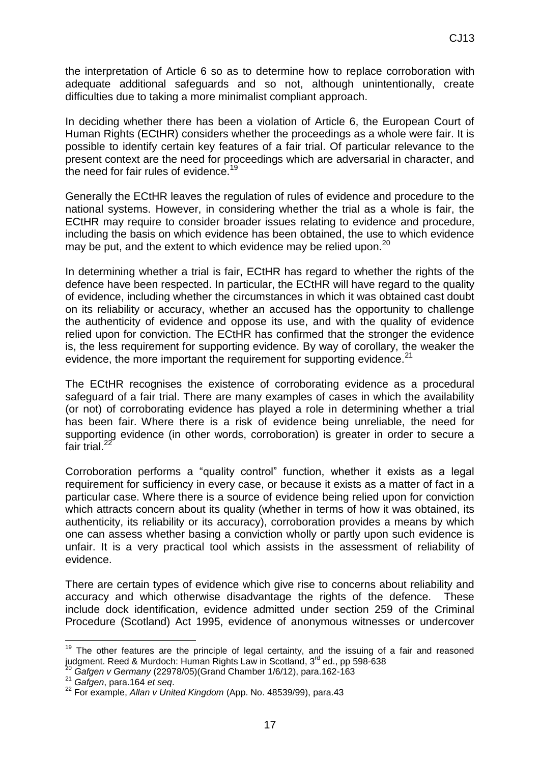the interpretation of Article 6 so as to determine how to replace corroboration with adequate additional safeguards and so not, although unintentionally, create difficulties due to taking a more minimalist compliant approach.

In deciding whether there has been a violation of Article 6, the European Court of Human Rights (ECtHR) considers whether the proceedings as a whole were fair. It is possible to identify certain key features of a fair trial. Of particular relevance to the present context are the need for proceedings which are adversarial in character, and the need for fair rules of evidence.<sup>19</sup>

Generally the ECtHR leaves the regulation of rules of evidence and procedure to the national systems. However, in considering whether the trial as a whole is fair, the ECtHR may require to consider broader issues relating to evidence and procedure, including the basis on which evidence has been obtained, the use to which evidence may be put, and the extent to which evidence may be relied upon.<sup>20</sup>

In determining whether a trial is fair, ECtHR has regard to whether the rights of the defence have been respected. In particular, the ECtHR will have regard to the quality of evidence, including whether the circumstances in which it was obtained cast doubt on its reliability or accuracy, whether an accused has the opportunity to challenge the authenticity of evidence and oppose its use, and with the quality of evidence relied upon for conviction. The ECtHR has confirmed that the stronger the evidence is, the less requirement for supporting evidence. By way of corollary, the weaker the evidence, the more important the requirement for supporting evidence.<sup>21</sup>

The ECtHR recognises the existence of corroborating evidence as a procedural safeguard of a fair trial. There are many examples of cases in which the availability (or not) of corroborating evidence has played a role in determining whether a trial has been fair. Where there is a risk of evidence being unreliable, the need for supporting evidence (in other words, corroboration) is greater in order to secure a fair trial. $^{22}$ 

Corroboration performs a "quality control" function, whether it exists as a legal requirement for sufficiency in every case, or because it exists as a matter of fact in a particular case. Where there is a source of evidence being relied upon for conviction which attracts concern about its quality (whether in terms of how it was obtained, its authenticity, its reliability or its accuracy), corroboration provides a means by which one can assess whether basing a conviction wholly or partly upon such evidence is unfair. It is a very practical tool which assists in the assessment of reliability of evidence.

There are certain types of evidence which give rise to concerns about reliability and accuracy and which otherwise disadvantage the rights of the defence. These include dock identification, evidence admitted under section 259 of the Criminal Procedure (Scotland) Act 1995, evidence of anonymous witnesses or undercover

<u>.</u>

 $19$  The other features are the principle of legal certainty, and the issuing of a fair and reasoned judgment. Reed & Murdoch: Human Rights Law in Scotland, 3rd ed., pp 598-638

<sup>20</sup> *Gafgen v Germany* (22978/05)(Grand Chamber 1/6/12), para.162-163

<sup>21</sup> *Gafgen*, para.164 *et seq*.

<sup>22</sup> For example, *Allan v United Kingdom* (App. No. 48539/99), para.43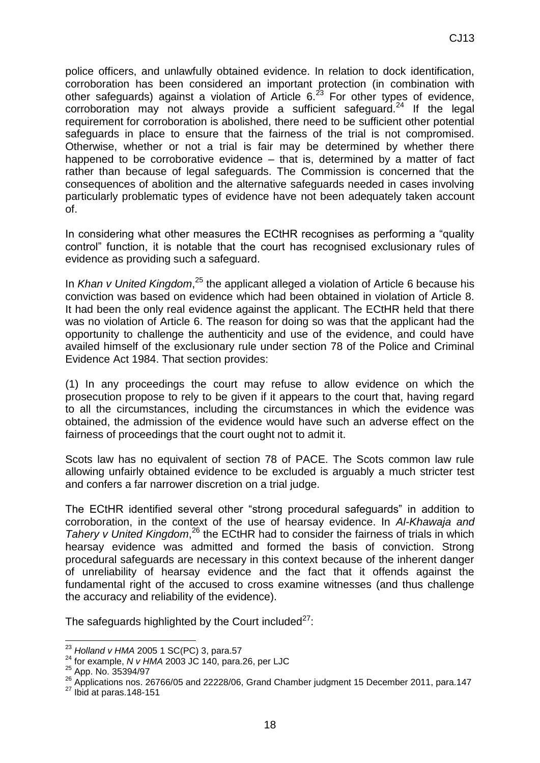police officers, and unlawfully obtained evidence. In relation to dock identification, corroboration has been considered an important protection (in combination with other safeguards) against a violation of Article  $6.^{23}$  For other types of evidence, corroboration may not always provide a sufficient safeguard.<sup>24</sup> If the legal requirement for corroboration is abolished, there need to be sufficient other potential safeguards in place to ensure that the fairness of the trial is not compromised. Otherwise, whether or not a trial is fair may be determined by whether there happened to be corroborative evidence – that is, determined by a matter of fact rather than because of legal safeguards. The Commission is concerned that the consequences of abolition and the alternative safeguards needed in cases involving particularly problematic types of evidence have not been adequately taken account of.

In considering what other measures the ECtHR recognises as performing a "quality control" function, it is notable that the court has recognised exclusionary rules of evidence as providing such a safeguard.

In *Khan v United Kingdom*,<sup>25</sup> the applicant alleged a violation of Article 6 because his conviction was based on evidence which had been obtained in violation of Article 8. It had been the only real evidence against the applicant. The ECtHR held that there was no violation of Article 6. The reason for doing so was that the applicant had the opportunity to challenge the authenticity and use of the evidence, and could have availed himself of the exclusionary rule under section 78 of the Police and Criminal Evidence Act 1984. That section provides:

(1) In any proceedings the court may refuse to allow evidence on which the prosecution propose to rely to be given if it appears to the court that, having regard to all the circumstances, including the circumstances in which the evidence was obtained, the admission of the evidence would have such an adverse effect on the fairness of proceedings that the court ought not to admit it.

Scots law has no equivalent of section 78 of PACE. The Scots common law rule allowing unfairly obtained evidence to be excluded is arguably a much stricter test and confers a far narrower discretion on a trial judge.

The ECtHR identified several other "strong procedural safeguards" in addition to corroboration, in the context of the use of hearsay evidence. In *Al-Khawaja and*  Tahery v United Kingdom,<sup>26</sup> the ECtHR had to consider the fairness of trials in which hearsay evidence was admitted and formed the basis of conviction. Strong procedural safeguards are necessary in this context because of the inherent danger of unreliability of hearsay evidence and the fact that it offends against the fundamental right of the accused to cross examine witnesses (and thus challenge the accuracy and reliability of the evidence).

The safeguards highlighted by the Court included $^{27}$ :

<u>.</u>

<sup>23</sup> *Holland v HMA* 2005 1 SC(PC) 3, para.57

<sup>24</sup> for example, *N v HMA* 2003 JC 140, para.26, per LJC

<sup>25</sup> App. No. 35394/97

<sup>26</sup> Applications nos. 26766/05 and 22228/06, Grand Chamber judgment 15 December 2011, para.147

 $27$  Ibid at paras.148-151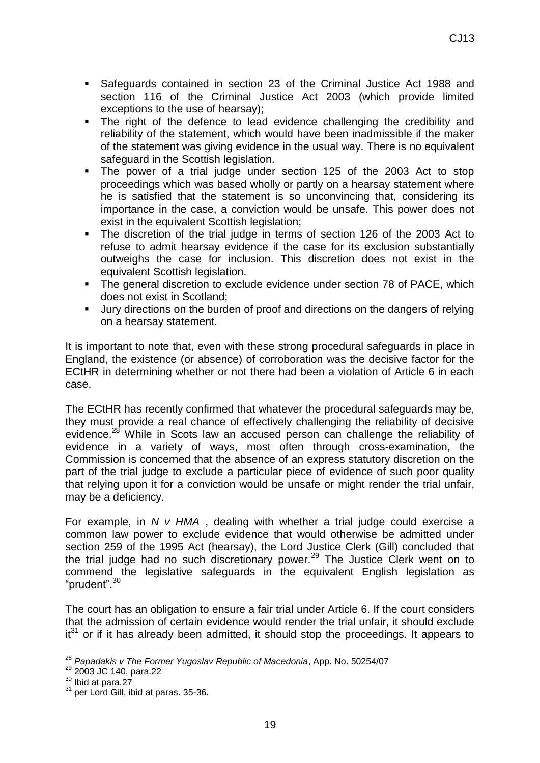- Safeguards contained in section 23 of the Criminal Justice Act 1988 and section 116 of the Criminal Justice Act 2003 (which provide limited exceptions to the use of hearsay);
- The right of the defence to lead evidence challenging the credibility and reliability of the statement, which would have been inadmissible if the maker of the statement was giving evidence in the usual way. There is no equivalent safeguard in the Scottish legislation.
- The power of a trial judge under section 125 of the 2003 Act to stop proceedings which was based wholly or partly on a hearsay statement where he is satisfied that the statement is so unconvincing that, considering its importance in the case, a conviction would be unsafe. This power does not exist in the equivalent Scottish legislation;
- The discretion of the trial judge in terms of section 126 of the 2003 Act to refuse to admit hearsay evidence if the case for its exclusion substantially outweighs the case for inclusion. This discretion does not exist in the equivalent Scottish legislation.
- The general discretion to exclude evidence under section 78 of PACE, which does not exist in Scotland;
- Jury directions on the burden of proof and directions on the dangers of relying on a hearsay statement.

It is important to note that, even with these strong procedural safeguards in place in England, the existence (or absence) of corroboration was the decisive factor for the ECtHR in determining whether or not there had been a violation of Article 6 in each case.

The ECtHR has recently confirmed that whatever the procedural safeguards may be, they must provide a real chance of effectively challenging the reliability of decisive evidence.<sup>28</sup> While in Scots law an accused person can challenge the reliability of evidence in a variety of ways, most often through cross-examination, the Commission is concerned that the absence of an express statutory discretion on the part of the trial judge to exclude a particular piece of evidence of such poor quality that relying upon it for a conviction would be unsafe or might render the trial unfair, may be a deficiency.

For example, in *N v HMA* , dealing with whether a trial judge could exercise a common law power to exclude evidence that would otherwise be admitted under section 259 of the 1995 Act (hearsay), the Lord Justice Clerk (Gill) concluded that the trial judge had no such discretionary power.<sup>29</sup> The Justice Clerk went on to commend the legislative safeguards in the equivalent English legislation as "prudent".<sup>30</sup>

The court has an obligation to ensure a fair trial under Article 6. If the court considers that the admission of certain evidence would render the trial unfair, it should exclude  $it^{31}$  or if it has already been admitted, it should stop the proceedings. It appears to

1

<sup>28</sup> *Papadakis v The Former Yugoslav Republic of Macedonia*, App. No. 50254/07

<sup>29</sup> 2003 JC 140, para.22

<sup>30</sup> Ibid at para.27

 $31$  per Lord Gill, ibid at paras. 35-36.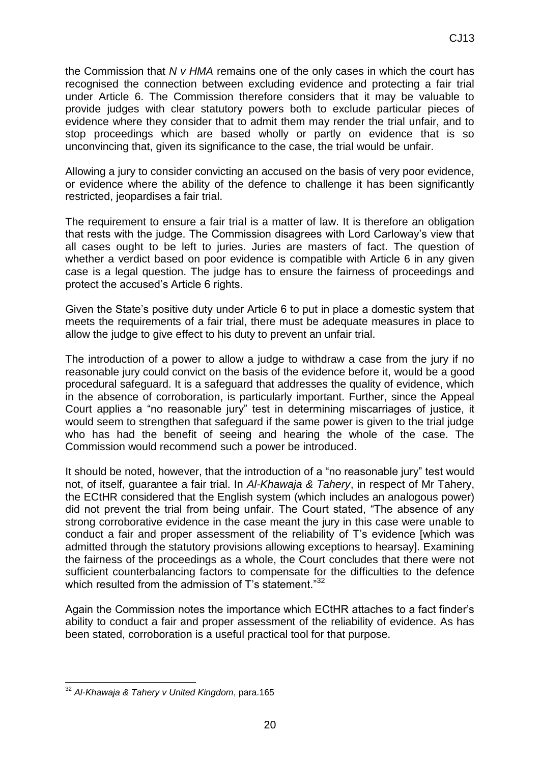the Commission that *N v HMA* remains one of the only cases in which the court has recognised the connection between excluding evidence and protecting a fair trial under Article 6. The Commission therefore considers that it may be valuable to provide judges with clear statutory powers both to exclude particular pieces of evidence where they consider that to admit them may render the trial unfair, and to stop proceedings which are based wholly or partly on evidence that is so unconvincing that, given its significance to the case, the trial would be unfair.

Allowing a jury to consider convicting an accused on the basis of very poor evidence, or evidence where the ability of the defence to challenge it has been significantly restricted, jeopardises a fair trial.

The requirement to ensure a fair trial is a matter of law. It is therefore an obligation that rests with the judge. The Commission disagrees with Lord Carloway's view that all cases ought to be left to juries. Juries are masters of fact. The question of whether a verdict based on poor evidence is compatible with Article 6 in any given case is a legal question. The judge has to ensure the fairness of proceedings and protect the accused's Article 6 rights.

Given the State's positive duty under Article 6 to put in place a domestic system that meets the requirements of a fair trial, there must be adequate measures in place to allow the judge to give effect to his duty to prevent an unfair trial.

The introduction of a power to allow a judge to withdraw a case from the jury if no reasonable jury could convict on the basis of the evidence before it, would be a good procedural safeguard. It is a safeguard that addresses the quality of evidence, which in the absence of corroboration, is particularly important. Further, since the Appeal Court applies a "no reasonable jury" test in determining miscarriages of justice, it would seem to strengthen that safeguard if the same power is given to the trial judge who has had the benefit of seeing and hearing the whole of the case. The Commission would recommend such a power be introduced.

It should be noted, however, that the introduction of a "no reasonable jury" test would not, of itself, guarantee a fair trial. In *Al-Khawaja & Tahery*, in respect of Mr Tahery, the ECtHR considered that the English system (which includes an analogous power) did not prevent the trial from being unfair. The Court stated, "The absence of any strong corroborative evidence in the case meant the jury in this case were unable to conduct a fair and proper assessment of the reliability of T's evidence [which was admitted through the statutory provisions allowing exceptions to hearsay]. Examining the fairness of the proceedings as a whole, the Court concludes that there were not sufficient counterbalancing factors to compensate for the difficulties to the defence which resulted from the admission of T's statement."<sup>32</sup>

Again the Commission notes the importance which ECtHR attaches to a fact finder's ability to conduct a fair and proper assessment of the reliability of evidence. As has been stated, corroboration is a useful practical tool for that purpose.

<sup>1</sup> <sup>32</sup> *Al-Khawaja & Tahery v United Kingdom*, para.165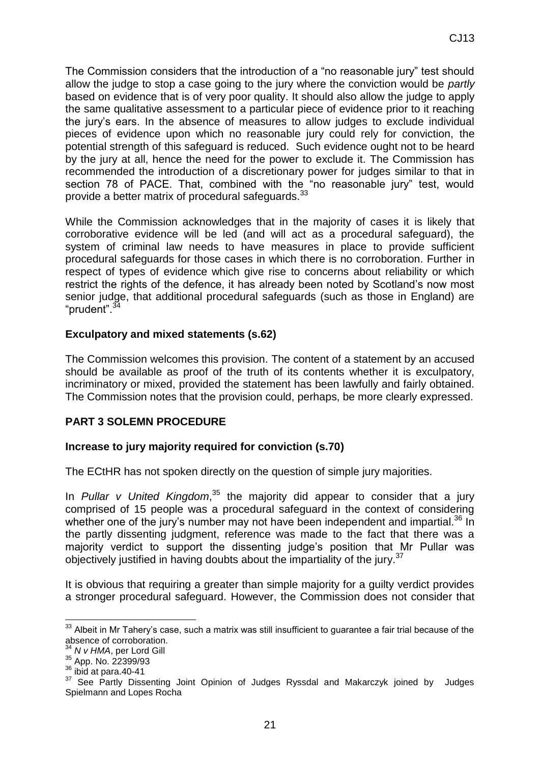The Commission considers that the introduction of a "no reasonable jury" test should allow the judge to stop a case going to the jury where the conviction would be *partly* based on evidence that is of very poor quality. It should also allow the judge to apply the same qualitative assessment to a particular piece of evidence prior to it reaching the jury's ears. In the absence of measures to allow judges to exclude individual pieces of evidence upon which no reasonable jury could rely for conviction, the potential strength of this safeguard is reduced. Such evidence ought not to be heard by the jury at all, hence the need for the power to exclude it. The Commission has recommended the introduction of a discretionary power for judges similar to that in section 78 of PACE. That, combined with the "no reasonable jury" test, would provide a better matrix of procedural safeguards.<sup>33</sup>

While the Commission acknowledges that in the majority of cases it is likely that corroborative evidence will be led (and will act as a procedural safeguard), the system of criminal law needs to have measures in place to provide sufficient procedural safeguards for those cases in which there is no corroboration. Further in respect of types of evidence which give rise to concerns about reliability or which restrict the rights of the defence, it has already been noted by Scotland's now most senior judge, that additional procedural safeguards (such as those in England) are "prudent".<sup>34</sup>

#### **Exculpatory and mixed statements (s.62)**

The Commission welcomes this provision. The content of a statement by an accused should be available as proof of the truth of its contents whether it is exculpatory, incriminatory or mixed, provided the statement has been lawfully and fairly obtained. The Commission notes that the provision could, perhaps, be more clearly expressed.

## **PART 3 SOLEMN PROCEDURE**

#### **Increase to jury majority required for conviction (s.70)**

The ECtHR has not spoken directly on the question of simple jury majorities.

In *Pullar v United Kingdom*, <sup>35</sup> the majority did appear to consider that a jury comprised of 15 people was a procedural safeguard in the context of considering whether one of the jury's number may not have been independent and impartial.<sup>36</sup> In the partly dissenting judgment, reference was made to the fact that there was a majority verdict to support the dissenting judge's position that Mr Pullar was objectively justified in having doubts about the impartiality of the jury.<sup>37</sup>

It is obvious that requiring a greater than simple majority for a guilty verdict provides a stronger procedural safeguard. However, the Commission does not consider that

<sup>1</sup>  $33$  Albeit in Mr Tahery's case, such a matrix was still insufficient to guarantee a fair trial because of the absence of corroboration.

<sup>34</sup> *N v HMA*, per Lord Gill

 $35$  App. No. 22399/93

 $36$  ibid at para.40-41

<sup>37</sup> See Partly Dissenting Joint Opinion of Judges Ryssdal and Makarczyk joined by Judges Spielmann and Lopes Rocha